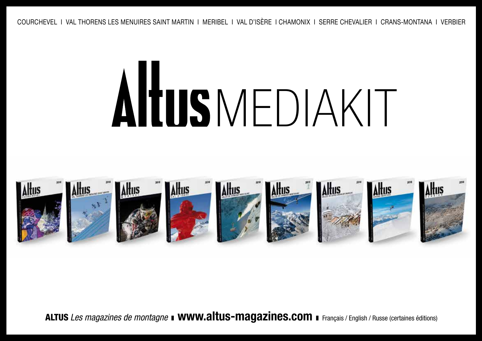# MEDIAKIT



ALTUS *Les magazines de montagne* **I WWW.altus-magazines.com I** Français / English / Russe (certaines éditions)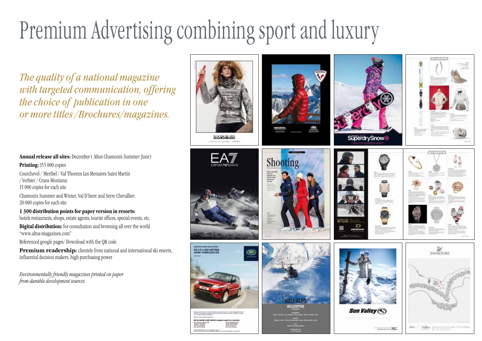## Premium Advertising combining sport and luxury

*The quality of a national magazine with targeted communication, offering the choice of publication in one or more titles /Brochures/magazines.*

**Annual release all sites:** December ( Altus Chamonix Summer: June) **Printing:** 155 000 copies Courchevel / Meribel / Val Thorens Les Menuires Saint Martin / Verbier / Crans Montana: 15 000 copies for each site Chamonix Summer and Winter, Val D'Isere and Serre Chevallier: 20 000 copies for each site **1 300 distribution points for paper version in resorts:**  hotels restaurants, shops, estate agents, tourist offices, special events, etc.

**Digital distribution:** for consultation and browsing all over the world "www.altus-magazines.com"

Referenced google pages/ Download with the QR code

**Premium readership:** clientele from national and international ski resorts, influential decision makers, high purchasing power

*Environmentally friendly magazines printed on paper from durable development sources*

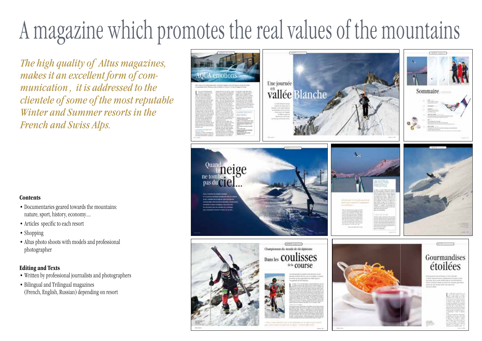## A magazine which promotes the real values of the mountains

*The high quality of Altus magazines, makes it an excellent form of communication , it is addressed to the clientele of some of the most reputable Winter and Summer resorts in the French and Swiss Alps.*

#### **Contents**

- Documentaries geared towards the mountains: nature, sport, history, economy….
- Articles specific to each resort
- Shopping
- Altus photo shoots with models and professional photographer

#### **Editing and Texts**

- Written by professional journalists and photographers
- Bilingual and Trilingual magazines (French, English, Russian) depending on resort